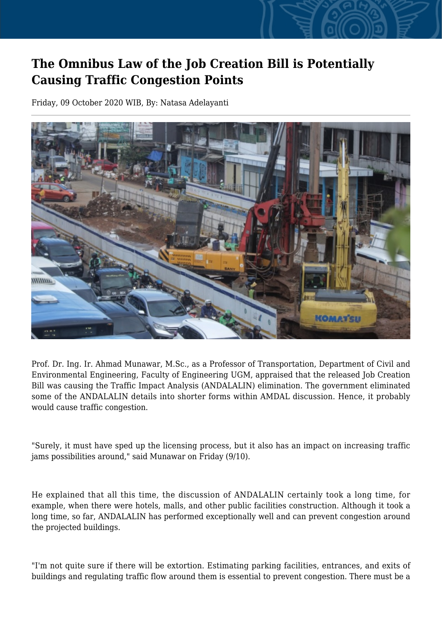## **The Omnibus Law of the Job Creation Bill is Potentially Causing Traffic Congestion Points**

Friday, 09 October 2020 WIB, By: Natasa Adelayanti



Prof. Dr. Ing. Ir. Ahmad Munawar, M.Sc., as a Professor of Transportation, Department of Civil and Environmental Engineering, Faculty of Engineering UGM, appraised that the released Job Creation Bill was causing the Traffic Impact Analysis (ANDALALIN) elimination. The government eliminated some of the ANDALALIN details into shorter forms within AMDAL discussion. Hence, it probably would cause traffic congestion.

"Surely, it must have sped up the licensing process, but it also has an impact on increasing traffic jams possibilities around," said Munawar on Friday (9/10).

He explained that all this time, the discussion of ANDALALIN certainly took a long time, for example, when there were hotels, malls, and other public facilities construction. Although it took a long time, so far, ANDALALIN has performed exceptionally well and can prevent congestion around the projected buildings.

"I'm not quite sure if there will be extortion. Estimating parking facilities, entrances, and exits of buildings and regulating traffic flow around them is essential to prevent congestion. There must be a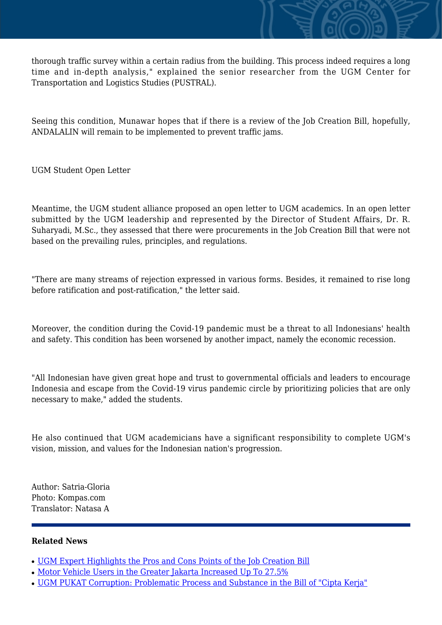thorough traffic survey within a certain radius from the building. This process indeed requires a long time and in-depth analysis," explained the senior researcher from the UGM Center for Transportation and Logistics Studies (PUSTRAL).

Seeing this condition, Munawar hopes that if there is a review of the Job Creation Bill, hopefully, ANDALALIN will remain to be implemented to prevent traffic jams.

UGM Student Open Letter

Meantime, the UGM student alliance proposed an open letter to UGM academics. In an open letter submitted by the UGM leadership and represented by the Director of Student Affairs, Dr. R. Suharyadi, M.Sc., they assessed that there were procurements in the Job Creation Bill that were not based on the prevailing rules, principles, and regulations.

"There are many streams of rejection expressed in various forms. Besides, it remained to rise long before ratification and post-ratification," the letter said.

Moreover, the condition during the Covid-19 pandemic must be a threat to all Indonesians' health and safety. This condition has been worsened by another impact, namely the economic recession.

"All Indonesian have given great hope and trust to governmental officials and leaders to encourage Indonesia and escape from the Covid-19 virus pandemic circle by prioritizing policies that are only necessary to make," added the students.

He also continued that UGM academicians have a significant responsibility to complete UGM's vision, mission, and values for the Indonesian nation's progression.

Author: Satria-Gloria Photo: Kompas.com Translator: Natasa A

## **Related News**

- [UGM Expert Highlights the Pros and Cons Points of the Job Creation Bill](http://ugm.ac.id/www.ugm.ac.id//en/news/20177-ugm-pukat-corruption-problematic-process-and-substance-in-the-bill-of-cipta-kerja)
- [Motor Vehicle Users in the Greater Jakarta Increased Up To 27.5%](http://ugm.ac.id/www.ugm.ac.id//en/news/19129-faculty-of-social-and-political-sciences-held-omnibus-law-discussion)
- [UGM PUKAT Corruption: Problematic Process and Substance in the Bill of "Cipta Kerja"](http://ugm.ac.id/www.ugm.ac.id//en/news/5812-due-to-bureaucracy-development-of-urban-public-transportation-experienced-obstacles)